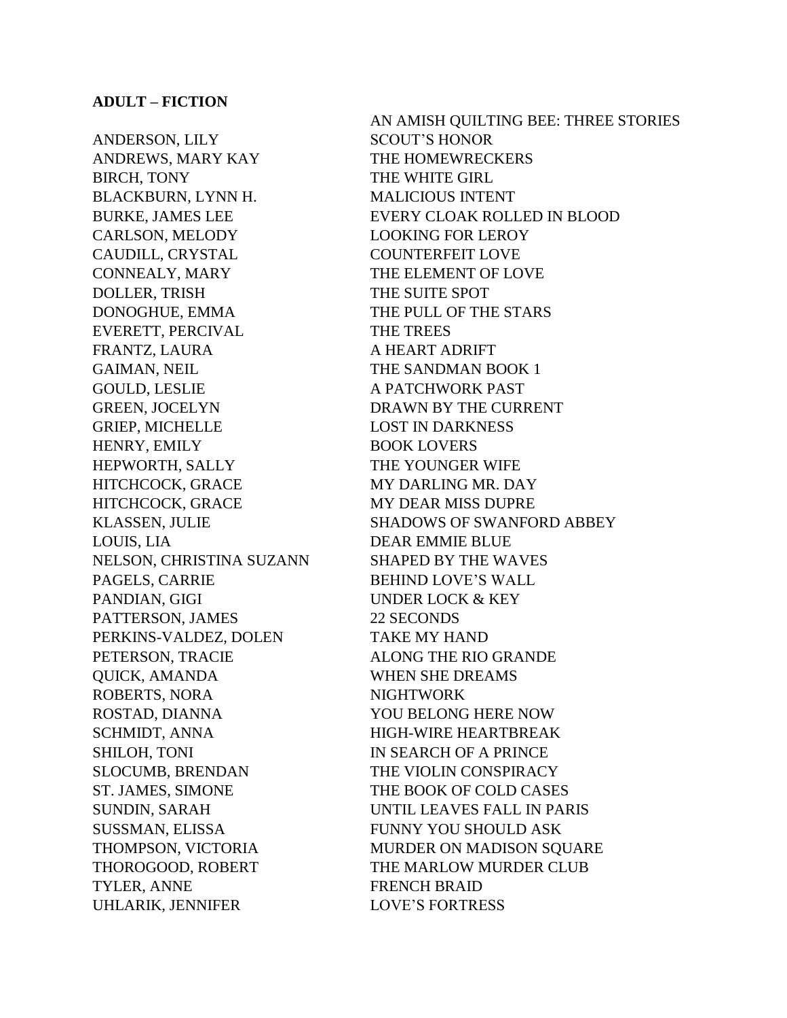ANDERSON, LILY SCOUT'S HONOR ANDREWS, MARY KAY THE HOMEWRECKERS BIRCH, TONY THE WHITE GIRL BLACKBURN, LYNN H. MALICIOUS INTENT CARLSON, MELODY LOOKING FOR LEROY CAUDILL, CRYSTAL COUNTERFEIT LOVE CONNEALY, MARY THE ELEMENT OF LOVE DOLLER, TRISH THE SUITE SPOT DONOGHUE, EMMA THE PULL OF THE STARS EVERETT, PERCIVAL THE TREES FRANTZ, LAURA A HEART ADRIFT GAIMAN, NEIL THE SANDMAN BOOK 1 GOULD, LESLIE A PATCHWORK PAST GREEN, JOCELYN DRAWN BY THE CURRENT GRIEP, MICHELLE LOST IN DARKNESS HENRY, EMILY BOOK LOVERS HEPWORTH, SALLY THE YOUNGER WIFE HITCHCOCK, GRACE MY DARLING MR. DAY HITCHCOCK, GRACE MY DEAR MISS DUPRE LOUIS, LIA DEAR EMMIE BLUE NELSON, CHRISTINA SUZANN SHAPED BY THE WAVES PAGELS, CARRIE BEHIND LOVE'S WALL PANDIAN, GIGI UNDER LOCK & KEY PATTERSON, JAMES 22 SECONDS PERKINS-VALDEZ, DOLEN TAKE MY HAND PETERSON, TRACIE ALONG THE RIO GRANDE QUICK, AMANDA WHEN SHE DREAMS ROBERTS, NORA NIGHTWORK ROSTAD, DIANNA YOU BELONG HERE NOW SCHMIDT, ANNA HIGH-WIRE HEARTBREAK SHILOH, TONI IN SEARCH OF A PRINCE SLOCUMB, BRENDAN THE VIOLIN CONSPIRACY SUSSMAN, ELISSA FUNNY YOU SHOULD ASK TYLER, ANNE FRENCH BRAID UHLARIK, JENNIFER LOVE'S FORTRESS

AN AMISH QUILTING BEE: THREE STORIES BURKE, JAMES LEE EVERY CLOAK ROLLED IN BLOOD KLASSEN, JULIE SHADOWS OF SWANFORD ABBEY ST. JAMES, SIMONE THE BOOK OF COLD CASES SUNDIN, SARAH UNTIL LEAVES FALL IN PARIS THOMPSON, VICTORIA MURDER ON MADISON SQUARE THOROGOOD, ROBERT THE MARLOW MURDER CLUB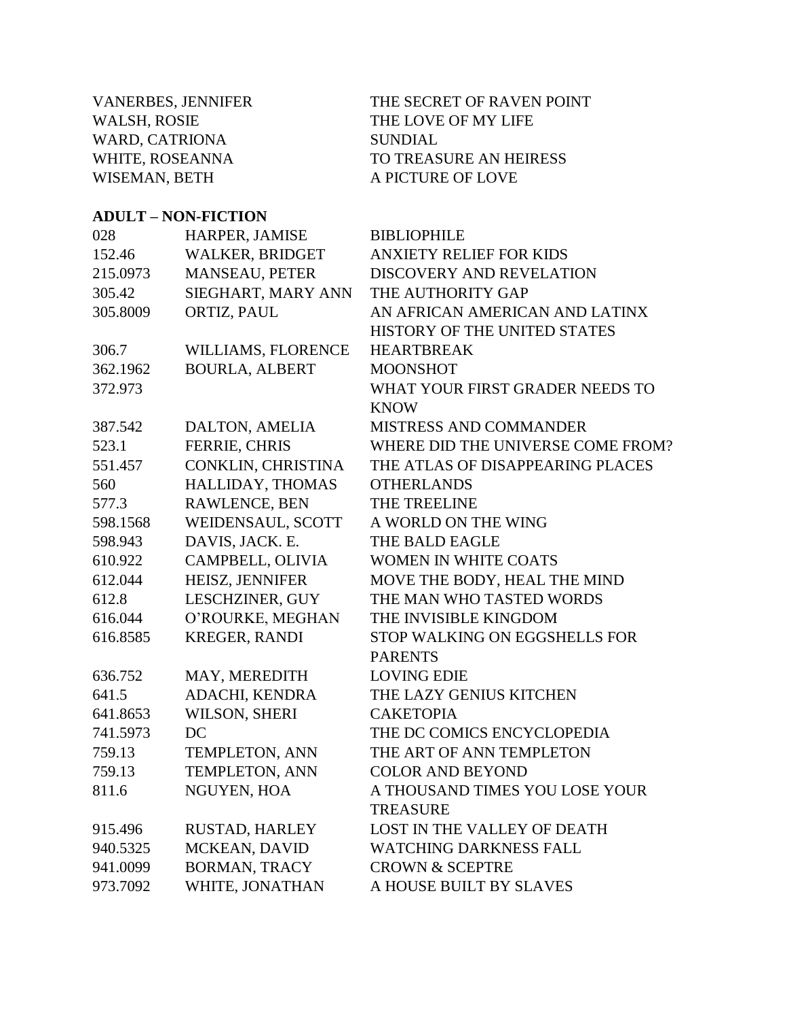VANERBES, JENNIFER THE SECRET OF RAVEN POINT WALSH, ROSIE THE LOVE OF MY LIFE WARD, CATRIONA SUNDIAL WHITE, ROSEANNA TO TREASURE AN HEIRESS WISEMAN, BETH A PICTURE OF LOVE

#### **ADULT – NON-FICTION**

| 028      | HARPER, JAMISE        | <b>BIBLIOPHILE</b>                |
|----------|-----------------------|-----------------------------------|
| 152.46   | WALKER, BRIDGET       | <b>ANXIETY RELIEF FOR KIDS</b>    |
| 215.0973 | <b>MANSEAU, PETER</b> | DISCOVERY AND REVELATION          |
| 305.42   | SIEGHART, MARY ANN    | THE AUTHORITY GAP                 |
| 305.8009 | ORTIZ, PAUL           | AN AFRICAN AMERICAN AND LATINX    |
|          |                       | HISTORY OF THE UNITED STATES      |
| 306.7    | WILLIAMS, FLORENCE    | <b>HEARTBREAK</b>                 |
| 362.1962 | <b>BOURLA, ALBERT</b> | <b>MOONSHOT</b>                   |
| 372.973  |                       | WHAT YOUR FIRST GRADER NEEDS TO   |
|          |                       | <b>KNOW</b>                       |
| 387.542  | DALTON, AMELIA        | MISTRESS AND COMMANDER            |
| 523.1    | FERRIE, CHRIS         | WHERE DID THE UNIVERSE COME FROM? |
| 551.457  | CONKLIN, CHRISTINA    | THE ATLAS OF DISAPPEARING PLACES  |
| 560      | HALLIDAY, THOMAS      | <b>OTHERLANDS</b>                 |
| 577.3    | RAWLENCE, BEN         | THE TREELINE                      |
| 598.1568 | WEIDENSAUL, SCOTT     | A WORLD ON THE WING               |
| 598.943  | DAVIS, JACK. E.       | THE BALD EAGLE                    |
| 610.922  | CAMPBELL, OLIVIA      | <b>WOMEN IN WHITE COATS</b>       |
| 612.044  | HEISZ, JENNIFER       | MOVE THE BODY, HEAL THE MIND      |
| 612.8    | LESCHZINER, GUY       | THE MAN WHO TASTED WORDS          |
| 616.044  | O'ROURKE, MEGHAN      | THE INVISIBLE KINGDOM             |
| 616.8585 | <b>KREGER, RANDI</b>  | STOP WALKING ON EGGSHELLS FOR     |
|          |                       | <b>PARENTS</b>                    |
| 636.752  | MAY, MEREDITH         | <b>LOVING EDIE</b>                |
| 641.5    | ADACHI, KENDRA        | THE LAZY GENIUS KITCHEN           |
| 641.8653 | WILSON, SHERI         | <b>CAKETOPIA</b>                  |
| 741.5973 | DC                    | THE DC COMICS ENCYCLOPEDIA        |
| 759.13   | TEMPLETON, ANN        | THE ART OF ANN TEMPLETON          |
| 759.13   | <b>TEMPLETON, ANN</b> | <b>COLOR AND BEYOND</b>           |
| 811.6    | NGUYEN, HOA           | A THOUSAND TIMES YOU LOSE YOUR    |
|          |                       | <b>TREASURE</b>                   |
| 915.496  | RUSTAD, HARLEY        | LOST IN THE VALLEY OF DEATH       |
| 940.5325 | MCKEAN, DAVID         | <b>WATCHING DARKNESS FALL</b>     |
| 941.0099 | <b>BORMAN, TRACY</b>  | <b>CROWN &amp; SCEPTRE</b>        |
| 973.7092 | WHITE, JONATHAN       | A HOUSE BUILT BY SLAVES           |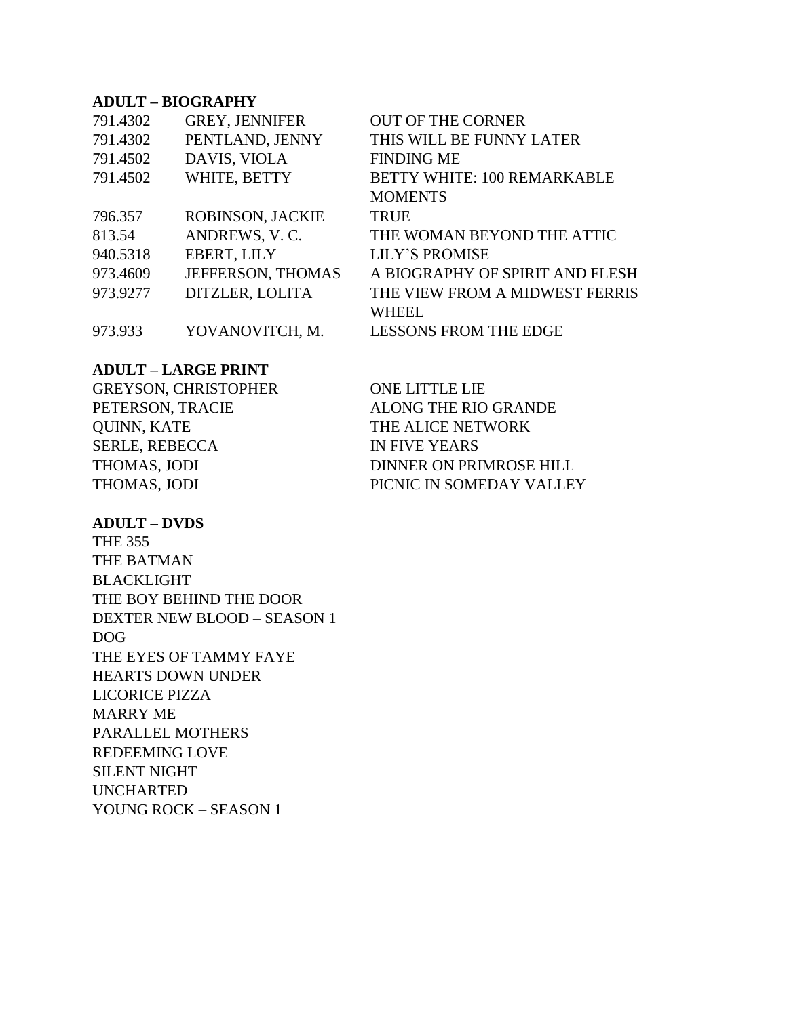### **ADULT – BIOGRAPHY**

| 791.4302 | <b>GREY, JENNIFER</b>   | <b>OUT OF THE CORNER</b>           |
|----------|-------------------------|------------------------------------|
| 791.4302 | PENTLAND, JENNY         | THIS WILL BE FUNNY LATER           |
| 791.4502 | DAVIS, VIOLA            | <b>FINDING ME</b>                  |
| 791.4502 | WHITE, BETTY            | <b>BETTY WHITE: 100 REMARKABLE</b> |
|          |                         | <b>MOMENTS</b>                     |
| 796.357  | <b>ROBINSON, JACKIE</b> | <b>TRUE</b>                        |
| 813.54   | ANDREWS, V.C.           | THE WOMAN BEYOND THE ATTIC         |
| 940.5318 | EBERT, LILY             | <b>LILY'S PROMISE</b>              |
| 973.4609 | JEFFERSON, THOMAS       | A BIOGRAPHY OF SPIRIT AND FLESH    |
| 973.9277 | DITZLER, LOLITA         | THE VIEW FROM A MIDWEST FERRIS     |
|          |                         | <b>WHEEL</b>                       |
| 973.933  | YOVANOVITCH, M.         | <b>LESSONS FROM THE EDGE</b>       |

#### **ADULT – LARGE PRINT**

| <b>GREYSON, CHRISTOPHER</b> | ONE LITTLE LIE           |
|-----------------------------|--------------------------|
| PETERSON, TRACIE            | ALONG THE RIO GRANDE     |
| QUINN, KATE                 | THE ALICE NETWORK        |
| <b>SERLE, REBECCA</b>       | <b>IN FIVE YEARS</b>     |
| THOMAS, JODI                | DINNER ON PRIMROSE HILL  |
| THOMAS, JODI                | PICNIC IN SOMEDAY VALLEY |

#### **ADULT – DVDS**

THE 355 THE BATMAN BLACKLIGHT THE BOY BEHIND THE DOOR DEXTER NEW BLOOD – SEASON 1 DOG THE EYES OF TAMMY FAYE HEARTS DOWN UNDER LICORICE PIZZA MARRY ME PARALLEL MOTHERS REDEEMING LOVE SILENT NIGHT UNCHARTED YOUNG ROCK – SEASON 1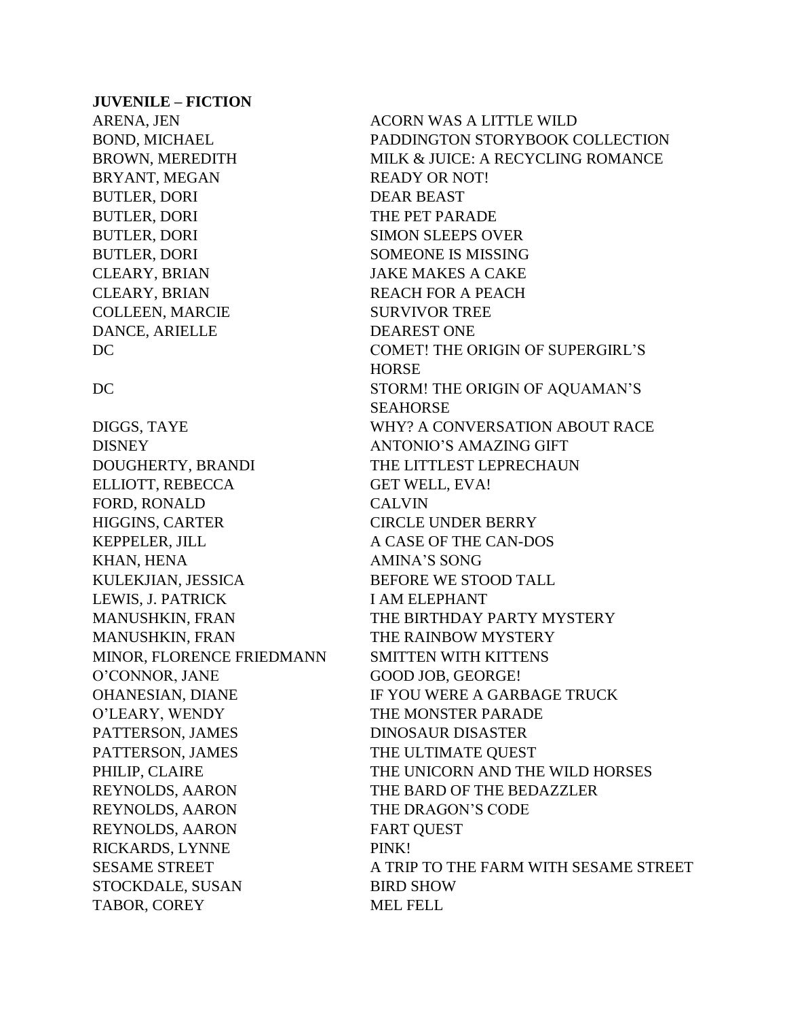#### **JUVENILE – FICTION**

BRYANT, MEGAN READY OR NOT! BUTLER, DORI DEAR BEAST BUTLER, DORI THE PET PARADE COLLEEN, MARCIE SURVIVOR TREE DANCE, ARIELLE DEAREST ONE

DISNEY ANTONIO'S AMAZING GIFT DOUGHERTY, BRANDI THE LITTLEST LEPRECHAUN ELLIOTT, REBECCA GET WELL, EVA! FORD, RONALD CALVIN HIGGINS, CARTER CIRCLE UNDER BERRY KEPPELER, JILL A CASE OF THE CAN-DOS KHAN, HENA AMINA'S SONG KULEKJIAN, JESSICA BEFORE WE STOOD TALL LEWIS, J. PATRICK I AM ELEPHANT MANUSHKIN, FRAN THE RAINBOW MYSTERY MINOR, FLORENCE FRIEDMANN SMITTEN WITH KITTENS O'CONNOR, JANE GOOD JOB, GEORGE! O'LEARY, WENDY THE MONSTER PARADE PATTERSON, JAMES DINOSAUR DISASTER PATTERSON, JAMES THE ULTIMATE QUEST REYNOLDS, AARON THE BARD OF THE BEDAZZLER REYNOLDS, AARON THE DRAGON'S CODE REYNOLDS, AARON FART OUEST RICKARDS, LYNNE PINK! STOCKDALE, SUSAN BIRD SHOW TABOR, COREY MEL FELL

ARENA, JEN ACORN WAS A LITTLE WILD BOND, MICHAEL PADDINGTON STORYBOOK COLLECTION BROWN, MEREDITH MILK & JUICE: A RECYCLING ROMANCE BUTLER, DORI SIMON SLEEPS OVER BUTLER, DORI SOMEONE IS MISSING CLEARY, BRIAN JAKE MAKES A CAKE CLEARY, BRIAN REACH FOR A PEACH DC COMET! THE ORIGIN OF SUPERGIRL'S **HORSE** DC STORM! THE ORIGIN OF AQUAMAN'S SEAHORSE DIGGS, TAYE WHY? A CONVERSATION ABOUT RACE MANUSHKIN, FRAN THE BIRTHDAY PARTY MYSTERY OHANESIAN, DIANE IF YOU WERE A GARBAGE TRUCK PHILIP, CLAIRE THE UNICORN AND THE WILD HORSES SESAME STREET A TRIP TO THE FARM WITH SESAME STREET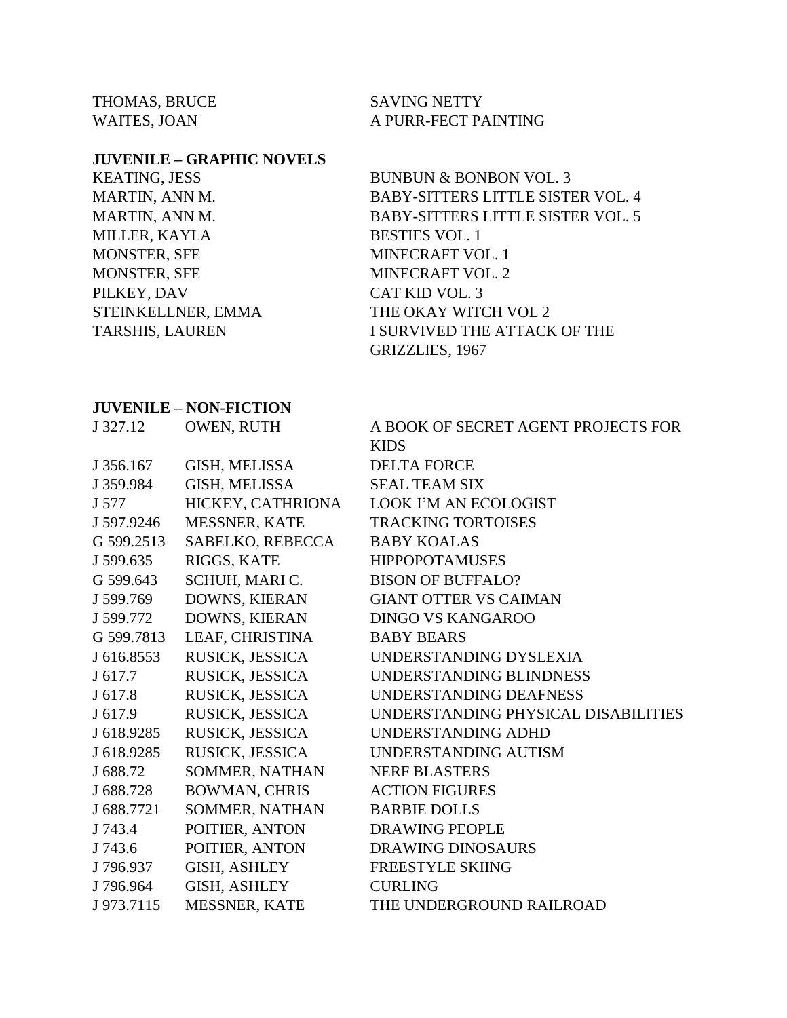THOMAS, BRUCE SAVING NETTY

WAITES, JOAN A PURR-FECT PAINTING

#### **JUVENILE – GRAPHIC NOVELS**

MILLER, KAYLA BESTIES VOL. 1 MONSTER, SFE MINECRAFT VOL. 1 MONSTER, SFE MINECRAFT VOL. 2 PILKEY, DAV CAT KID VOL. 3

KEATING, JESS BUNBUN & BONBON VOL. 3 MARTIN, ANN M. BABY-SITTERS LITTLE SISTER VOL. 4 MARTIN, ANN M. BABY-SITTERS LITTLE SISTER VOL. 5 STEINKELLNER, EMMA THE OKAY WITCH VOL 2 TARSHIS, LAUREN I SURVIVED THE ATTACK OF THE GRIZZLIES, 1967

#### **JUVENILE – NON-FICTION**

| J 327.12   | OWEN, RUTH           | A BOOK OF SECRET AGENT PROJECTS FOR |
|------------|----------------------|-------------------------------------|
|            |                      | <b>KIDS</b>                         |
| J 356.167  | GISH, MELISSA        | <b>DELTA FORCE</b>                  |
| J 359.984  | <b>GISH, MELISSA</b> | <b>SEAL TEAM SIX</b>                |
| J 577      | HICKEY, CATHRIONA    | <b>LOOK I'M AN ECOLOGIST</b>        |
| J 597.9246 | MESSNER, KATE        | <b>TRACKING TORTOISES</b>           |
| G 599.2513 | SABELKO, REBECCA     | <b>BABY KOALAS</b>                  |
| J 599.635  | RIGGS, KATE          | <b>HIPPOPOTAMUSES</b>               |
| G 599.643  | SCHUH, MARIC.        | <b>BISON OF BUFFALO?</b>            |
| J 599.769  | DOWNS, KIERAN        | <b>GIANT OTTER VS CAIMAN</b>        |
| J 599.772  | DOWNS, KIERAN        | <b>DINGO VS KANGAROO</b>            |
| G 599.7813 | LEAF, CHRISTINA      | <b>BABY BEARS</b>                   |
| J 616.8553 | RUSICK, JESSICA      | UNDERSTANDING DYSLEXIA              |
| J 617.7    | RUSICK, JESSICA      | UNDERSTANDING BLINDNESS             |
| J 617.8    | RUSICK, JESSICA      | UNDERSTANDING DEAFNESS              |
| J 617.9    | RUSICK, JESSICA      | UNDERSTANDING PHYSICAL DISABILITIES |
| J 618.9285 | RUSICK, JESSICA      | UNDERSTANDING ADHD                  |
| J 618.9285 | RUSICK, JESSICA      | UNDERSTANDING AUTISM                |
| J 688.72   | SOMMER, NATHAN       | <b>NERF BLASTERS</b>                |
| J 688.728  | <b>BOWMAN, CHRIS</b> | <b>ACTION FIGURES</b>               |
| J 688.7721 | SOMMER, NATHAN       | <b>BARBIE DOLLS</b>                 |
| J 743.4    | POITIER, ANTON       | <b>DRAWING PEOPLE</b>               |
| J 743.6    | POITIER, ANTON       | <b>DRAWING DINOSAURS</b>            |
| J796.937   | <b>GISH, ASHLEY</b>  | <b>FREESTYLE SKIING</b>             |
| J796.964   | <b>GISH, ASHLEY</b>  | <b>CURLING</b>                      |
| J 973.7115 | MESSNER, KATE        | THE UNDERGROUND RAILROAD            |
|            |                      |                                     |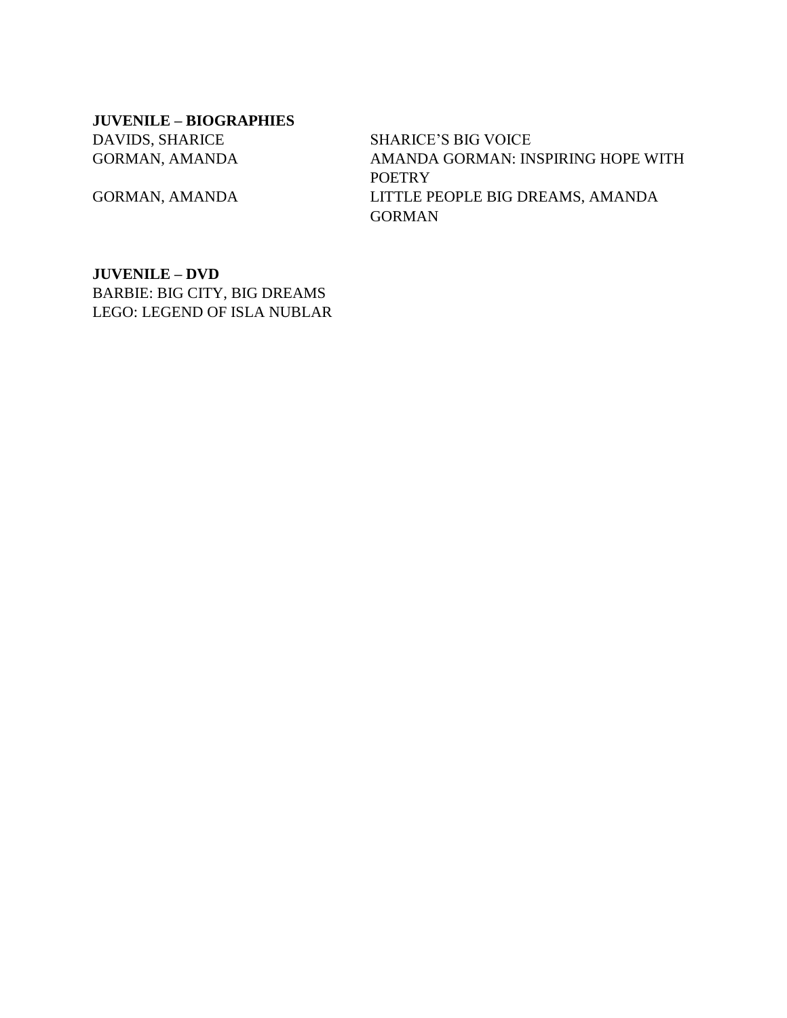**JUVENILE – BIOGRAPHIES** DAVIDS, SHARICE SHARICE'S BIG VOICE

GORMAN, AMANDA AMANDA GORMAN: INSPIRING HOPE WITH **POETRY** GORMAN, AMANDA LITTLE PEOPLE BIG DREAMS, AMANDA GORMAN

**JUVENILE – DVD** BARBIE: BIG CITY, BIG DREAMS LEGO: LEGEND OF ISLA NUBLAR